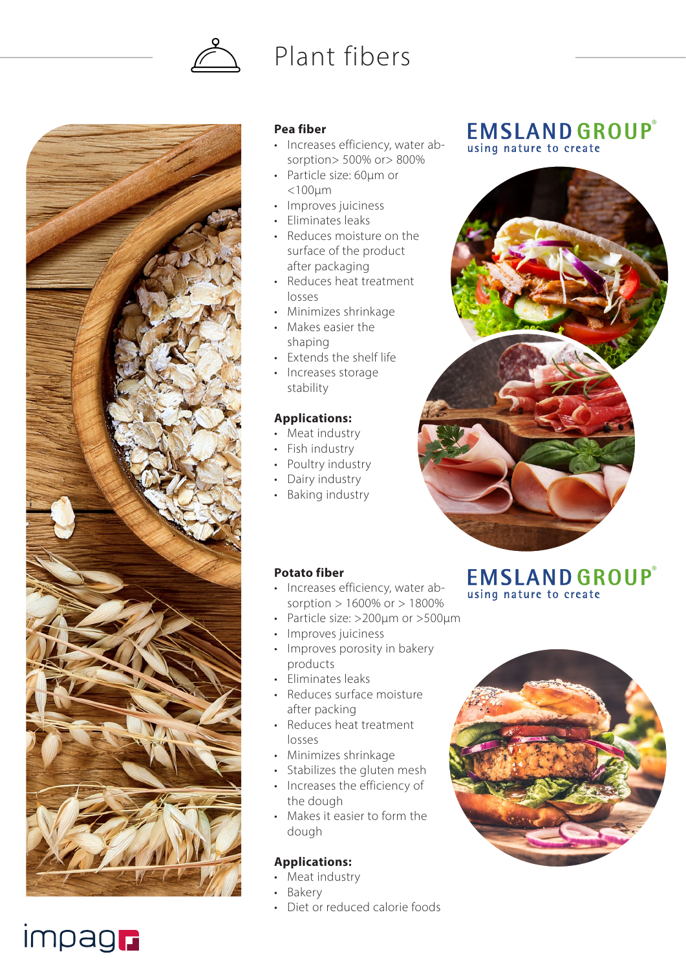

# Plant fibers



### **Pea fiber**

- Increases efficiency, water absorption> 500% or> 800%
- Particle size: 60µm or <100µm
- Improves juiciness
- Eliminates leaks
- Reduces moisture on the surface of the product after packaging
- Reduces heat treatment losses
- Minimizes shrinkage
- Makes easier the shaping
- Extends the shelf life
- Increases storage stability

### **Applications:**

- Meat industry
- Fish industry
- Poultry industry
- Dairy industry
- Baking industry

### **Potato fiber**

- Increases efficiency, water absorption > 1600% or > 1800%
- Particle size: >200µm or >500µm
- Improves juiciness
- Improves porosity in bakery products
- Eliminates leaks
- Reduces surface moisture after packing
- Reduces heat treatment losses
- Minimizes shrinkage
- Stabilizes the gluten mesh
- Increases the efficiency of the dough
- Makes it easier to form the dough

### **Applications:**

- Meat industry
- Bakery
- Diet or reduced calorie foods

## **EMSLAND GROUP®** using nature to create



## **EMSLAND GROUP®** using nature to create